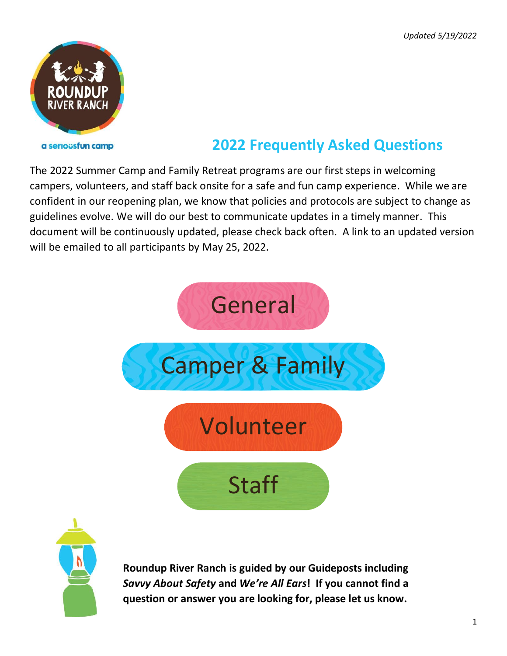

#### a seriousfun camp

# **2022 Frequently Asked Questions**

The 2022 Summer Camp and Family Retreat programs are our first steps in welcoming campers, volunteers, and staff back onsite for a safe and fun camp experience. While we are confident in our reopening plan, we know that policies and protocols are subject to change as guidelines evolve. We will do our best to communicate updates in a timely manner. This document will be continuously updated, please check back often. A link to an updated version will be emailed to all participants by May 25, 2022.





**Roundup River Ranch is guided by our Guideposts including**  *Savvy About Safety* **and** *We're All Ears***! If you cannot find a question or answer you are looking for, please let us know.**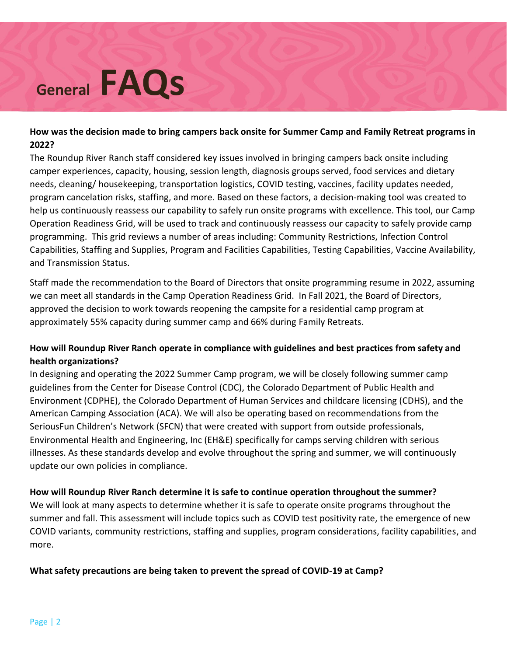# **General FAQs**

#### **How was the decision made to bring campers back onsite for Summer Camp and Family Retreat programs in 2022?**

The Roundup River Ranch staff considered key issues involved in bringing campers back onsite including camper experiences, capacity, housing, session length, diagnosis groups served, food services and dietary needs, cleaning/ housekeeping, transportation logistics, COVID testing, vaccines, facility updates needed, program cancelation risks, staffing, and more. Based on these factors, a decision-making tool was created to help us continuously reassess our capability to safely run onsite programs with excellence. This tool, our Camp Operation Readiness Grid, will be used to track and continuously reassess our capacity to safely provide camp programming. This grid reviews a number of areas including: Community Restrictions, Infection Control Capabilities, Staffing and Supplies, Program and Facilities Capabilities, Testing Capabilities, Vaccine Availability, and Transmission Status.

Staff made the recommendation to the Board of Directors that onsite programming resume in 2022, assuming we can meet all standards in the Camp Operation Readiness Grid. In Fall 2021, the Board of Directors, approved the decision to work towards reopening the campsite for a residential camp program at approximately 55% capacity during summer camp and 66% during Family Retreats.

## **How will Roundup River Ranch operate in compliance with guidelines and best practices from safety and health organizations?**

In designing and operating the 2022 Summer Camp program, we will be closely following summer camp guidelines from the Center for Disease Control (CDC), the Colorado Department of Public Health and Environment (CDPHE), the Colorado Department of Human Services and childcare licensing (CDHS), and the American Camping Association (ACA). We will also be operating based on recommendations from the SeriousFun Children's Network (SFCN) that were created with support from outside professionals, Environmental Health and Engineering, Inc (EH&E) specifically for camps serving children with serious illnesses. As these standards develop and evolve throughout the spring and summer, we will continuously update our own policies in compliance.

#### **How will Roundup River Ranch determine it is safe to continue operation throughout the summer?**

We will look at many aspects to determine whether it is safe to operate onsite programs throughout the summer and fall. This assessment will include topics such as COVID test positivity rate, the emergence of new COVID variants, community restrictions, staffing and supplies, program considerations, facility capabilities, and more.

#### **What safety precautions are being taken to prevent the spread of COVID-19 at Camp?**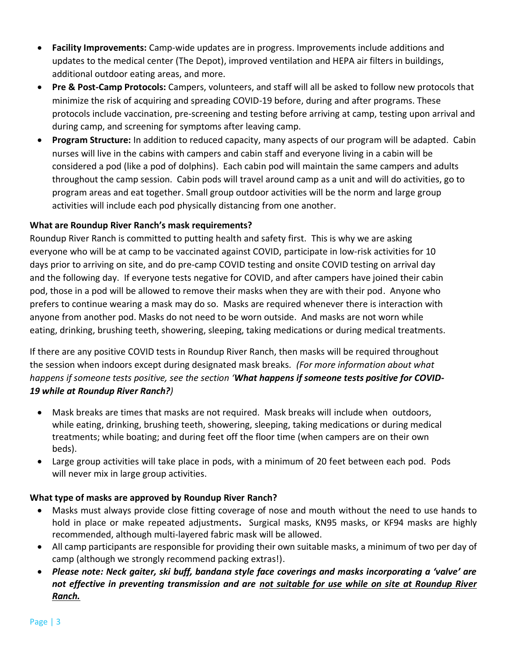- **Facility Improvements:** Camp-wide updates are in progress. Improvements include additions and updates to the medical center (The Depot), improved ventilation and HEPA air filters in buildings, additional outdoor eating areas, and more.
- **Pre & Post-Camp Protocols:** Campers, volunteers, and staff will all be asked to follow new protocols that minimize the risk of acquiring and spreading COVID-19 before, during and after programs. These protocols include vaccination, pre-screening and testing before arriving at camp, testing upon arrival and during camp, and screening for symptoms after leaving camp.
- **Program Structure:** In addition to reduced capacity, many aspects of our program will be adapted. Cabin nurses will live in the cabins with campers and cabin staff and everyone living in a cabin will be considered a pod (like a pod of dolphins). Each cabin pod will maintain the same campers and adults throughout the camp session. Cabin pods will travel around camp as a unit and will do activities, go to program areas and eat together. Small group outdoor activities will be the norm and large group activities will include each pod physically distancing from one another.

## **What are Roundup River Ranch's mask requirements?**

Roundup River Ranch is committed to putting health and safety first. This is why we are asking everyone who will be at camp to be vaccinated against COVID, participate in low-risk activities for 10 days prior to arriving on site, and do pre-camp COVID testing and onsite COVID testing on arrival day and the following day. If everyone tests negative for COVID, and after campers have joined their cabin pod, those in a pod will be allowed to remove their masks when they are with their pod. Anyone who prefers to continue wearing a mask may do so. Masks are required whenever there is interaction with anyone from another pod. Masks do not need to be worn outside. And masks are not worn while eating, drinking, brushing teeth, showering, sleeping, taking medications or during medical treatments.

If there are any positive COVID tests in Roundup River Ranch, then masks will be required throughout the session when indoors except during designated mask breaks*. (For more information about what happens if someone tests positive, see the section 'What happens if someone tests positive for COVID-19 while at Roundup River Ranch?)*

- Mask breaks are times that masks are not required. Mask breaks will include when outdoors, while eating, drinking, brushing teeth, showering, sleeping, taking medications or during medical treatments; while boating; and during feet off the floor time (when campers are on their own beds).
- Large group activities will take place in pods, with a minimum of 20 feet between each pod. Pods will never mix in large group activities.

#### **What type of masks are approved by Roundup River Ranch?**

- Masks must always provide close fitting coverage of nose and mouth without the need to use hands to hold in place or make repeated adjustments**.** Surgical masks, KN95 masks, or KF94 masks are highly recommended, although multi-layered fabric mask will be allowed.
- All camp participants are responsible for providing their own suitable masks, a minimum of two per day of camp (although we strongly recommend packing extras!).
- *Please note: Neck gaiter, ski buff, bandana style face coverings and masks incorporating a 'valve' are not effective in preventing transmission and are not suitable for use while on site at Roundup River Ranch.*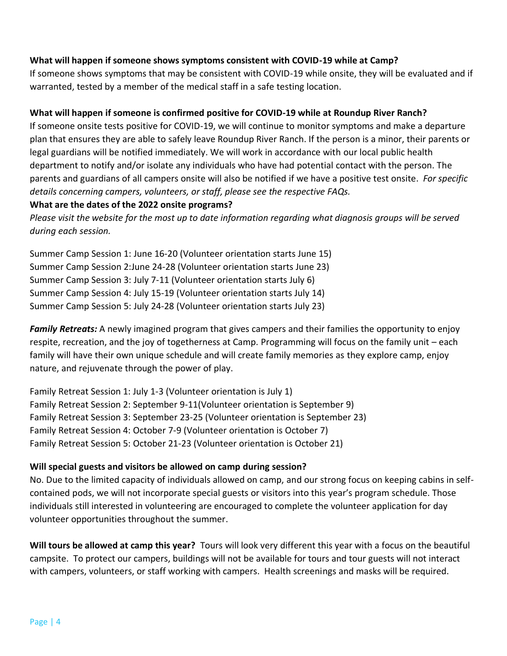#### **What will happen if someone shows symptoms consistent with COVID-19 while at Camp?**

If someone shows symptoms that may be consistent with COVID-19 while onsite, they will be evaluated and if warranted, tested by a member of the medical staff in a safe testing location.

#### **What will happen if someone is confirmed positive for COVID-19 while at Roundup River Ranch?**

If someone onsite tests positive for COVID-19, we will continue to monitor symptoms and make a departure plan that ensures they are able to safely leave Roundup River Ranch. If the person is a minor, their parents or legal guardians will be notified immediately. We will work in accordance with our local public health department to notify and/or isolate any individuals who have had potential contact with the person. The parents and guardians of all campers onsite will also be notified if we have a positive test onsite. *For specific details concerning campers, volunteers, or staff, please see the respective FAQs.*

#### **What are the dates of the 2022 onsite programs?**

*Please visit the website for the most up to date information regarding what diagnosis groups will be served during each session.*

Summer Camp Session 1: June 16-20 (Volunteer orientation starts June 15) Summer Camp Session 2:June 24-28 (Volunteer orientation starts June 23) Summer Camp Session 3: July 7-11 (Volunteer orientation starts July 6) Summer Camp Session 4: July 15-19 (Volunteer orientation starts July 14) Summer Camp Session 5: July 24-28 (Volunteer orientation starts July 23)

*Family Retreats:* A newly imagined program that gives campers and their families the opportunity to enjoy respite, recreation, and the joy of togetherness at Camp. Programming will focus on the family unit – each family will have their own unique schedule and will create family memories as they explore camp, enjoy nature, and rejuvenate through the power of play.

Family Retreat Session 1: July 1-3 (Volunteer orientation is July 1) Family Retreat Session 2: September 9-11(Volunteer orientation is September 9) Family Retreat Session 3: September 23-25 (Volunteer orientation is September 23) Family Retreat Session 4: October 7-9 (Volunteer orientation is October 7) Family Retreat Session 5: October 21-23 (Volunteer orientation is October 21)

#### **Will special guests and visitors be allowed on camp during session?**

No. Due to the limited capacity of individuals allowed on camp, and our strong focus on keeping cabins in selfcontained pods, we will not incorporate special guests or visitors into this year's program schedule. Those individuals still interested in volunteering are encouraged to complete the volunteer application for day volunteer opportunities throughout the summer.

**Will tours be allowed at camp this year?** Tours will look very different this year with a focus on the beautiful campsite. To protect our campers, buildings will not be available for tours and tour guests will not interact with campers, volunteers, or staff working with campers. Health screenings and masks will be required.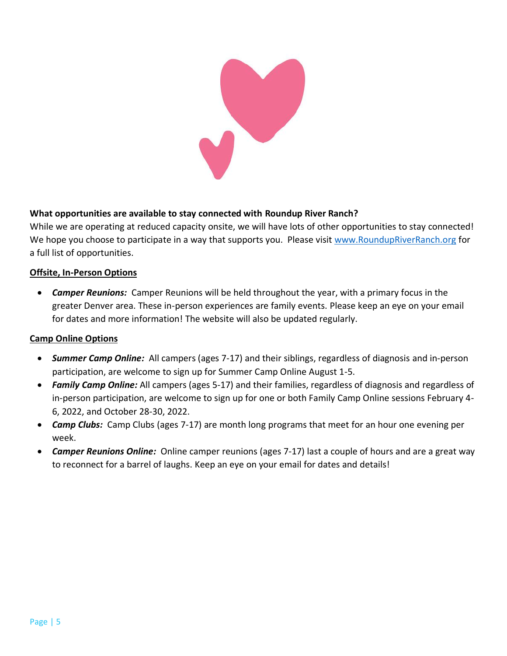

## **What opportunities are available to stay connected with Roundup River Ranch?**

While we are operating at reduced capacity onsite, we will have lots of other opportunities to stay connected! We hope you choose to participate in a way that supports you. Please visit [www.RoundupRiverRanch.org](http://www.roundupriverranch.org/) for a full list of opportunities.

#### **Offsite, In-Person Options**

• *Camper Reunions:*Camper Reunions will be held throughout the year, with a primary focus in the greater Denver area. These in-person experiences are family events. Please keep an eye on your email for dates and more information! The website will also be updated regularly.

#### **Camp Online Options**

- *Summer Camp Online:*All campers (ages 7-17) and their siblings, regardless of diagnosis and in-person participation, are welcome to sign up for Summer Camp Online August 1-5.
- *Family Camp Online:* All campers (ages 5-17) and their families, regardless of diagnosis and regardless of in-person participation, are welcome to sign up for one or both Family Camp Online sessions February 4- 6, 2022, and October 28-30, 2022.
- *Camp Clubs:*Camp Clubs (ages 7-17) are month long programs that meet for an hour one evening per week.
- *Camper Reunions Online:* Online camper reunions (ages 7-17) last a couple of hours and are a great way to reconnect for a barrel of laughs. Keep an eye on your email for dates and details!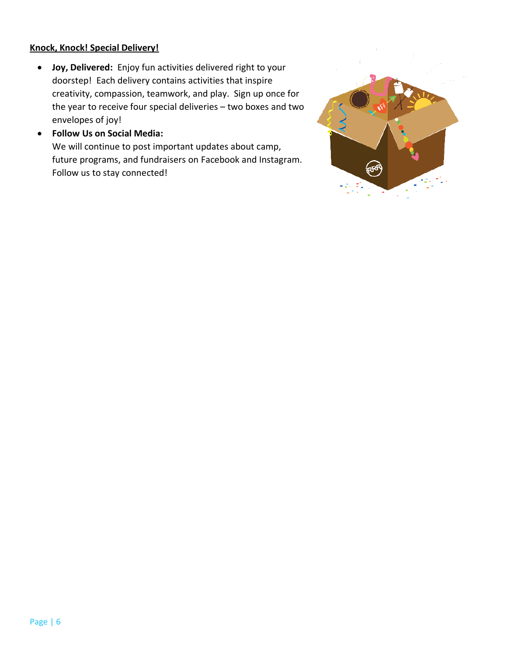#### **Knock, Knock! Special Delivery!**

- **Joy, Delivered:** Enjoy fun activities delivered right to your doorstep! Each delivery contains activities that inspire creativity, compassion, teamwork, and play. Sign up once for the year to receive four special deliveries – two boxes and two envelopes of joy!
- **Follow Us on Social Media:**

We will continue to post important updates about camp, future programs, and fundraisers on Facebook and Instagram. Follow us to stay connected!

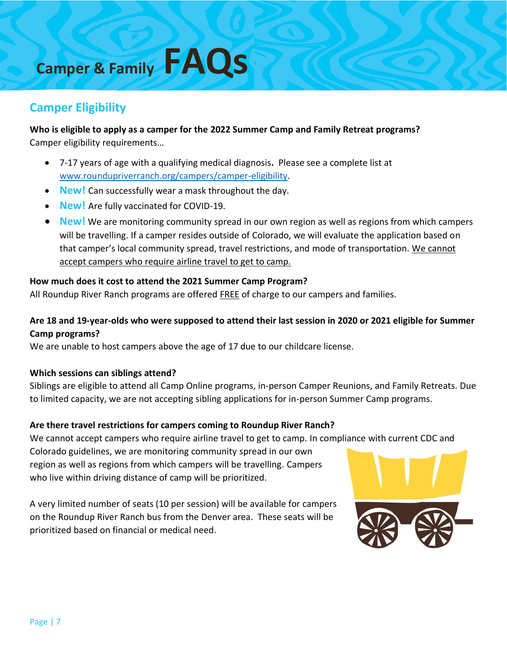# **Camper & Family FAQs**

# **Camper Eligibility**

**Who is eligible to apply as a camper for the 2022 Summer Camp and Family Retreat programs?** Camper eligibility requirements…

- 7-17 years of age with a qualifying medical diagnosis**.** Please see a complete list at [www.roundupriverranch.org/campers/camper-eligibility.](http://www.roundupriverranch.org/campers/camper-eligibility)
- **New!** Can successfully wear a mask throughout the day.
- **New!** Are fully vaccinated for COVID-19.
- **New!** We are monitoring community spread in our own region as well as regions from which campers will be travelling. If a camper resides outside of Colorado, we will evaluate the application based on that camper's local community spread, travel restrictions, and mode of transportation. We cannot accept campers who require airline travel to get to camp.

## **How much does it cost to attend the 2021 Summer Camp Program?**

All Roundup River Ranch programs are offered FREE of charge to our campers and families.

# **Are 18 and 19-year-olds who were supposed to attend their last session in 2020 or 2021 eligible for Summer Camp programs?**

We are unable to host campers above the age of 17 due to our childcare license.

#### **Which sessions can siblings attend?**

Siblings are eligible to attend all Camp Online programs, in-person Camper Reunions, and Family Retreats. Due to limited capacity, we are not accepting sibling applications for in-person Summer Camp programs.

#### **Are there travel restrictions for campers coming to Roundup River Ranch?**

We cannot accept campers who require airline travel to get to camp. In compliance with current CDC and

Colorado guidelines, we are monitoring community spread in our own region as well as regions from which campers will be travelling. Campers who live within driving distance of camp will be prioritized.

A very limited number of seats (10 per session) will be available for campers on the Roundup River Ranch bus from the Denver area. These seats will be prioritized based on financial or medical need.

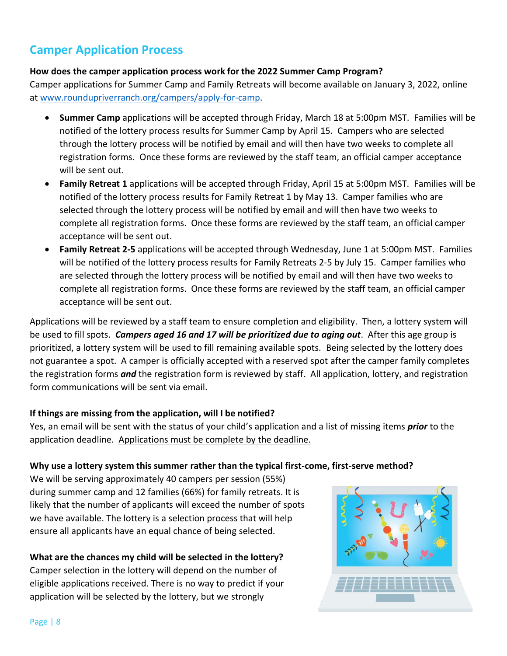# **Camper Application Process**

#### **How does the camper application process work for the 2022 Summer Camp Program?**

Camper applications for Summer Camp and Family Retreats will become available on January 3, 2022, online at [www.roundupriverranch.org/campers/apply-for-camp.](http://www.roundupriverranch.org/campers/apply-for-camp)

- **Summer Camp** applications will be accepted through Friday, March 18 at 5:00pm MST. Families will be notified of the lottery process results for Summer Camp by April 15. Campers who are selected through the lottery process will be notified by email and will then have two weeks to complete all registration forms. Once these forms are reviewed by the staff team, an official camper acceptance will be sent out.
- **Family Retreat 1** applications will be accepted through Friday, April 15 at 5:00pm MST. Families will be notified of the lottery process results for Family Retreat 1 by May 13. Camper families who are selected through the lottery process will be notified by email and will then have two weeks to complete all registration forms. Once these forms are reviewed by the staff team, an official camper acceptance will be sent out.
- **Family Retreat 2-5** applications will be accepted through Wednesday, June 1 at 5:00pm MST. Families will be notified of the lottery process results for Family Retreats 2-5 by July 15. Camper families who are selected through the lottery process will be notified by email and will then have two weeks to complete all registration forms. Once these forms are reviewed by the staff team, an official camper acceptance will be sent out.

Applications will be reviewed by a staff team to ensure completion and eligibility. Then, a lottery system will be used to fill spots. *Campers aged 16 and 17 will be prioritized due to aging out*. After this age group is prioritized, a lottery system will be used to fill remaining available spots. Being selected by the lottery does not guarantee a spot. A camper is officially accepted with a reserved spot after the camper family completes the registration forms *and* the registration form is reviewed by staff. All application, lottery, and registration form communications will be sent via email.

#### **If things are missing from the application, will I be notified?**

Yes, an email will be sent with the status of your child's application and a list of missing items *prior* to the application deadline. Applications must be complete by the deadline.

#### **Why use a lottery system this summer rather than the typical first-come, first-serve method?**

We will be serving approximately 40 campers per session (55%) during summer camp and 12 families (66%) for family retreats. It is likely that the number of applicants will exceed the number of spots we have available. The lottery is a selection process that will help ensure all applicants have an equal chance of being selected.

## **What are the chances my child will be selected in the lottery?**

Camper selection in the lottery will depend on the number of eligible applications received. There is no way to predict if your application will be selected by the lottery, but we strongly

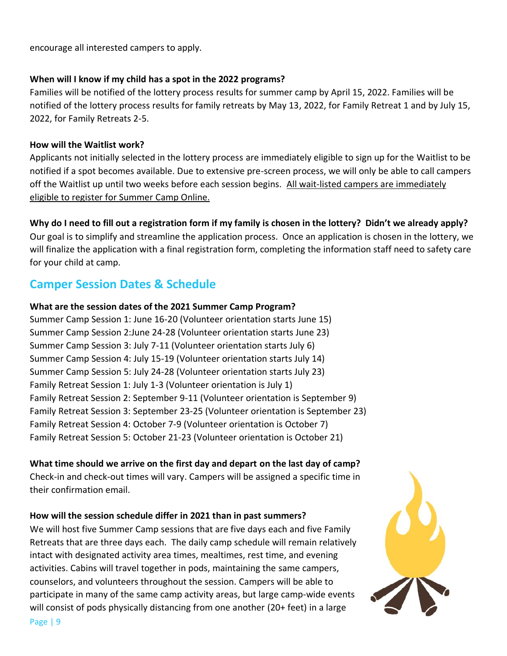encourage all interested campers to apply.

#### **When will I know if my child has a spot in the 2022 programs?**

Families will be notified of the lottery process results for summer camp by April 15, 2022. Families will be notified of the lottery process results for family retreats by May 13, 2022, for Family Retreat 1 and by July 15, 2022, for Family Retreats 2-5.

#### **How will the Waitlist work?**

Applicants not initially selected in the lottery process are immediately eligible to sign up for the Waitlist to be notified if a spot becomes available. Due to extensive pre-screen process, we will only be able to call campers off the Waitlist up until two weeks before each session begins. All wait-listed campers are immediately eligible to register for Summer Camp Online.

## **Why do I need to fill out a registration form if my family is chosen in the lottery? Didn't we already apply?**

Our goal is to simplify and streamline the application process. Once an application is chosen in the lottery, we will finalize the application with a final registration form, completing the information staff need to safety care for your child at camp.

# **Camper Session Dates & Schedule**

#### **What are the session dates of the 2021 Summer Camp Program?**

Summer Camp Session 1: June 16-20 (Volunteer orientation starts June 15) Summer Camp Session 2:June 24-28 (Volunteer orientation starts June 23) Summer Camp Session 3: July 7-11 (Volunteer orientation starts July 6) Summer Camp Session 4: July 15-19 (Volunteer orientation starts July 14) Summer Camp Session 5: July 24-28 (Volunteer orientation starts July 23) Family Retreat Session 1: July 1-3 (Volunteer orientation is July 1) Family Retreat Session 2: September 9-11 (Volunteer orientation is September 9) Family Retreat Session 3: September 23-25 (Volunteer orientation is September 23) Family Retreat Session 4: October 7-9 (Volunteer orientation is October 7) Family Retreat Session 5: October 21-23 (Volunteer orientation is October 21)

#### **What time should we arrive on the first day and depart on the last day of camp?**

Check-in and check-out times will vary. Campers will be assigned a specific time in their confirmation email.

#### **How will the session schedule differ in 2021 than in past summers?**

We will host five Summer Camp sessions that are five days each and five Family Retreats that are three days each. The daily camp schedule will remain relatively intact with designated activity area times, mealtimes, rest time, and evening activities. Cabins will travel together in pods, maintaining the same campers, counselors, and volunteers throughout the session. Campers will be able to participate in many of the same camp activity areas, but large camp-wide events will consist of pods physically distancing from one another (20+ feet) in a large

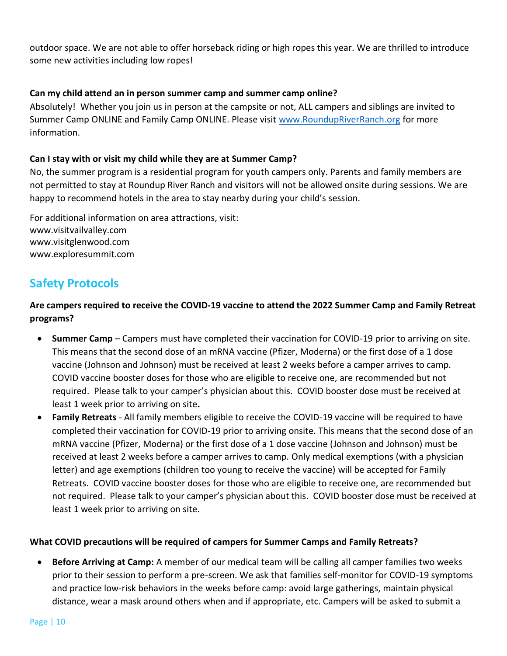outdoor space. We are not able to offer horseback riding or high ropes this year. We are thrilled to introduce some new activities including low ropes!

#### **Can my child attend an in person summer camp and summer camp online?**

Absolutely! Whether you join us in person at the campsite or not, ALL campers and siblings are invited to Summer Camp ONLINE and Family Camp ONLINE. Please visit [www.RoundupRiverRanch.org](http://www.roundupriverranch.org/) for more information.

#### **Can I stay with or visit my child while they are at Summer Camp?**

No, the summer program is a residential program for youth campers only. Parents and family members are not permitted to stay at Roundup River Ranch and visitors will not be allowed onsite during sessions. We are happy to recommend hotels in the area to stay nearby during your child's session.

For additional information on area attractions, visit: www.visitvailvalley.com www.visitglenwood.com www.exploresummit.com

# **Safety Protocols**

**Are campers required to receive the COVID-19 vaccine to attend the 2022 Summer Camp and Family Retreat programs?**

- **Summer Camp**  Campers must have completed their vaccination for COVID-19 prior to arriving on site. This means that the second dose of an mRNA vaccine (Pfizer, Moderna) or the first dose of a 1 dose vaccine (Johnson and Johnson) must be received at least 2 weeks before a camper arrives to camp. COVID vaccine booster doses for those who are eligible to receive one, are recommended but not required. Please talk to your camper's physician about this. COVID booster dose must be received at least 1 week prior to arriving on site**.**
- **Family Retreats**  All family members eligible to receive the COVID-19 vaccine will be required to have completed their vaccination for COVID-19 prior to arriving onsite. This means that the second dose of an mRNA vaccine (Pfizer, Moderna) or the first dose of a 1 dose vaccine (Johnson and Johnson) must be received at least 2 weeks before a camper arrives to camp. Only medical exemptions (with a physician letter) and age exemptions (children too young to receive the vaccine) will be accepted for Family Retreats. COVID vaccine booster doses for those who are eligible to receive one, are recommended but not required. Please talk to your camper's physician about this. COVID booster dose must be received at least 1 week prior to arriving on site.

#### **What COVID precautions will be required of campers for Summer Camps and Family Retreats?**

• **Before Arriving at Camp:** A member of our medical team will be calling all camper families two weeks prior to their session to perform a pre-screen. We ask that families self-monitor for COVID-19 symptoms and practice low-risk behaviors in the weeks before camp: avoid large gatherings, maintain physical distance, wear a mask around others when and if appropriate, etc. Campers will be asked to submit a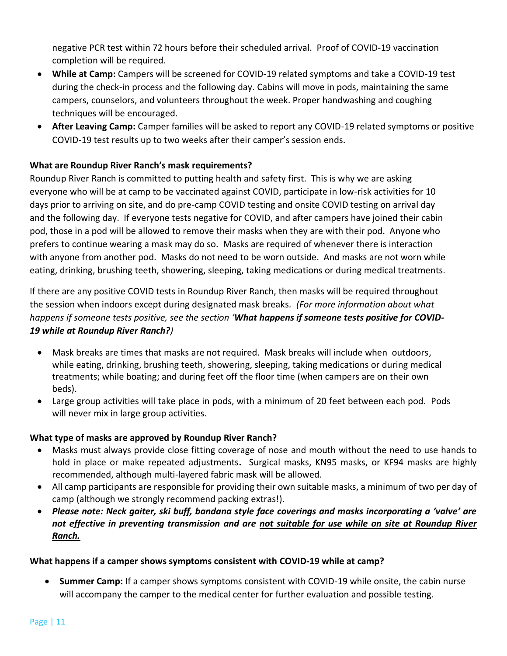negative PCR test within 72 hours before their scheduled arrival. Proof of COVID-19 vaccination completion will be required.

- **While at Camp:** Campers will be screened for COVID-19 related symptoms and take a COVID-19 test during the check-in process and the following day. Cabins will move in pods, maintaining the same campers, counselors, and volunteers throughout the week. Proper handwashing and coughing techniques will be encouraged.
- **After Leaving Camp:** Camper families will be asked to report any COVID-19 related symptoms or positive COVID-19 test results up to two weeks after their camper's session ends.

#### **What are Roundup River Ranch's mask requirements?**

Roundup River Ranch is committed to putting health and safety first. This is why we are asking everyone who will be at camp to be vaccinated against COVID, participate in low-risk activities for 10 days prior to arriving on site, and do pre-camp COVID testing and onsite COVID testing on arrival day and the following day. If everyone tests negative for COVID, and after campers have joined their cabin pod, those in a pod will be allowed to remove their masks when they are with their pod. Anyone who prefers to continue wearing a mask may do so. Masks are required of whenever there is interaction with anyone from another pod. Masks do not need to be worn outside. And masks are not worn while eating, drinking, brushing teeth, showering, sleeping, taking medications or during medical treatments.

If there are any positive COVID tests in Roundup River Ranch, then masks will be required throughout the session when indoors except during designated mask breaks*. (For more information about what happens if someone tests positive, see the section 'What happens if someone tests positive for COVID-19 while at Roundup River Ranch?)*

- Mask breaks are times that masks are not required. Mask breaks will include when outdoors, while eating, drinking, brushing teeth, showering, sleeping, taking medications or during medical treatments; while boating; and during feet off the floor time (when campers are on their own beds).
- Large group activities will take place in pods, with a minimum of 20 feet between each pod. Pods will never mix in large group activities.

#### **What type of masks are approved by Roundup River Ranch?**

- Masks must always provide close fitting coverage of nose and mouth without the need to use hands to hold in place or make repeated adjustments**.** Surgical masks, KN95 masks, or KF94 masks are highly recommended, although multi-layered fabric mask will be allowed.
- All camp participants are responsible for providing their own suitable masks, a minimum of two per day of camp (although we strongly recommend packing extras!).
- *Please note: Neck gaiter, ski buff, bandana style face coverings and masks incorporating a 'valve' are not effective in preventing transmission and are not suitable for use while on site at Roundup River Ranch.*

#### **What happens if a camper shows symptoms consistent with COVID-19 while at camp?**

• **Summer Camp:** If a camper shows symptoms consistent with COVID-19 while onsite, the cabin nurse will accompany the camper to the medical center for further evaluation and possible testing.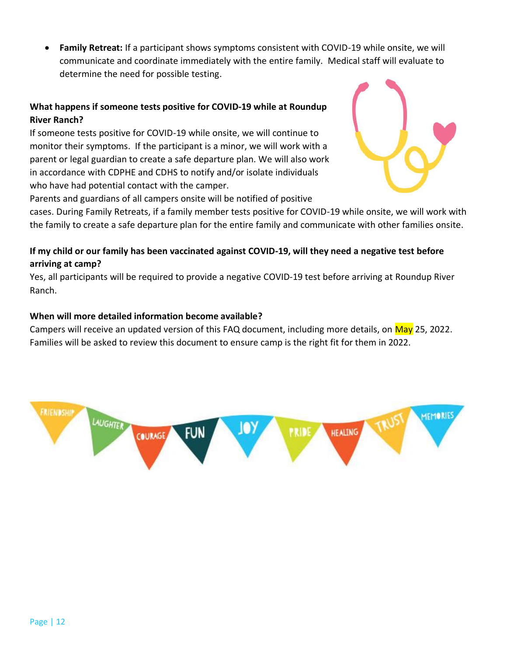• **Family Retreat:** If a participant shows symptoms consistent with COVID-19 while onsite, we will communicate and coordinate immediately with the entire family. Medical staff will evaluate to determine the need for possible testing.

## **What happens if someone tests positive for COVID-19 while at Roundup River Ranch?**

If someone tests positive for COVID-19 while onsite, we will continue to monitor their symptoms. If the participant is a minor, we will work with a parent or legal guardian to create a safe departure plan. We will also work in accordance with CDPHE and CDHS to notify and/or isolate individuals who have had potential contact with the camper.



Parents and guardians of all campers onsite will be notified of positive

cases. During Family Retreats, if a family member tests positive for COVID-19 while onsite, we will work with the family to create a safe departure plan for the entire family and communicate with other families onsite.

## **If my child or our family has been vaccinated against COVID-19, will they need a negative test before arriving at camp?**

Yes, all participants will be required to provide a negative COVID-19 test before arriving at Roundup River Ranch.

## **When will more detailed information become available?**

Campers will receive an updated version of this FAQ document, including more details, on May 25, 2022. Families will be asked to review this document to ensure camp is the right fit for them in 2022.

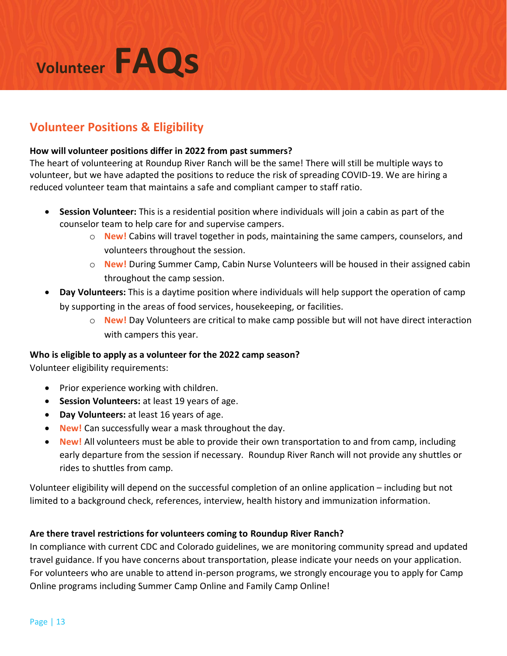# **Volunteer FAQs**

# **Volunteer Positions & Eligibility**

#### **How will volunteer positions differ in 2022 from past summers?**

The heart of volunteering at Roundup River Ranch will be the same! There will still be multiple ways to volunteer, but we have adapted the positions to reduce the risk of spreading COVID-19. We are hiring a reduced volunteer team that maintains a safe and compliant camper to staff ratio.

- **Session Volunteer:** This is a residential position where individuals will join a cabin as part of the counselor team to help care for and supervise campers.
	- o **New!** Cabins will travel together in pods, maintaining the same campers, counselors, and volunteers throughout the session.
	- o **New!** During Summer Camp, Cabin Nurse Volunteers will be housed in their assigned cabin throughout the camp session.
- **Day Volunteers:** This is a daytime position where individuals will help support the operation of camp by supporting in the areas of food services, housekeeping, or facilities.
	- o **New!** Day Volunteers are critical to make camp possible but will not have direct interaction with campers this year.

#### **Who is eligible to apply as a volunteer for the 2022 camp season?**

Volunteer eligibility requirements:

- Prior experience working with children.
- **Session Volunteers:** at least 19 years of age.
- **Day Volunteers:** at least 16 years of age.
- **New!** Can successfully wear a mask throughout the day.
- **New!** All volunteers must be able to provide their own transportation to and from camp, including early departure from the session if necessary. Roundup River Ranch will not provide any shuttles or rides to shuttles from camp.

Volunteer eligibility will depend on the successful completion of an online application – including but not limited to a background check, references, interview, health history and immunization information.

#### **Are there travel restrictions for volunteers coming to Roundup River Ranch?**

In compliance with current CDC and Colorado guidelines, we are monitoring community spread and updated travel guidance. If you have concerns about transportation, please indicate your needs on your application. For volunteers who are unable to attend in-person programs, we strongly encourage you to apply for Camp Online programs including Summer Camp Online and Family Camp Online!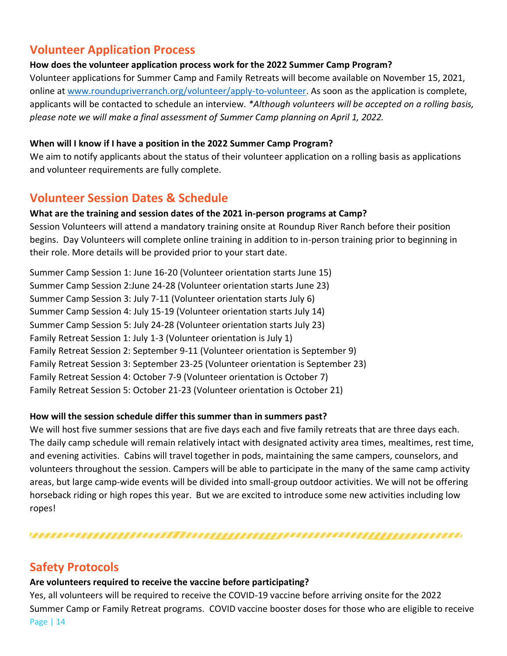# **Volunteer Application Process**

## **How does the volunteer application process work for the 2022 Summer Camp Program?**

Volunteer applications for Summer Camp and Family Retreats will become available on November 15, 2021, online at [www.roundupriverranch.org/volunteer/apply-to-volunteer.](http://www.roundupriverranch.org/volunteer/apply-to-volunteer) As soon as the application is complete, applicants will be contacted to schedule an interview. *\*Although volunteers will be accepted on a rolling basis, please note we will make a final assessment of Summer Camp planning on April 1, 2022.*

## **When will I know if I have a position in the 2022 Summer Camp Program?**

We aim to notify applicants about the status of their volunteer application on a rolling basis as applications and volunteer requirements are fully complete.

# **Volunteer Session Dates & Schedule**

## **What are the training and session dates of the 2021 in-person programs at Camp?**

Session Volunteers will attend a mandatory training onsite at Roundup River Ranch before their position begins. Day Volunteers will complete online training in addition to in-person training prior to beginning in their role. More details will be provided prior to your start date.

Summer Camp Session 1: June 16-20 (Volunteer orientation starts June 15) Summer Camp Session 2:June 24-28 (Volunteer orientation starts June 23) Summer Camp Session 3: July 7-11 (Volunteer orientation starts July 6) Summer Camp Session 4: July 15-19 (Volunteer orientation starts July 14) Summer Camp Session 5: July 24-28 (Volunteer orientation starts July 23) Family Retreat Session 1: July 1-3 (Volunteer orientation is July 1) Family Retreat Session 2: September 9-11 (Volunteer orientation is September 9) Family Retreat Session 3: September 23-25 (Volunteer orientation is September 23) Family Retreat Session 4: October 7-9 (Volunteer orientation is October 7) Family Retreat Session 5: October 21-23 (Volunteer orientation is October 21)

## **How will the session schedule differ this summer than in summers past?**

We will host five summer sessions that are five days each and five family retreats that are three days each. The daily camp schedule will remain relatively intact with designated activity area times, mealtimes, rest time, and evening activities. Cabins will travel together in pods, maintaining the same campers, counselors, and volunteers throughout the session. Campers will be able to participate in the many of the same camp activity areas, but large camp-wide events will be divided into small-group outdoor activities. We will not be offering horseback riding or high ropes this year. But we are excited to introduce some new activities including low ropes!

# 

# **Safety Protocols**

#### **Are volunteers required to receive the vaccine before participating?**

Page | 14 Yes, all volunteers will be required to receive the COVID-19 vaccine before arriving onsite for the 2022 Summer Camp or Family Retreat programs. COVID vaccine booster doses for those who are eligible to receive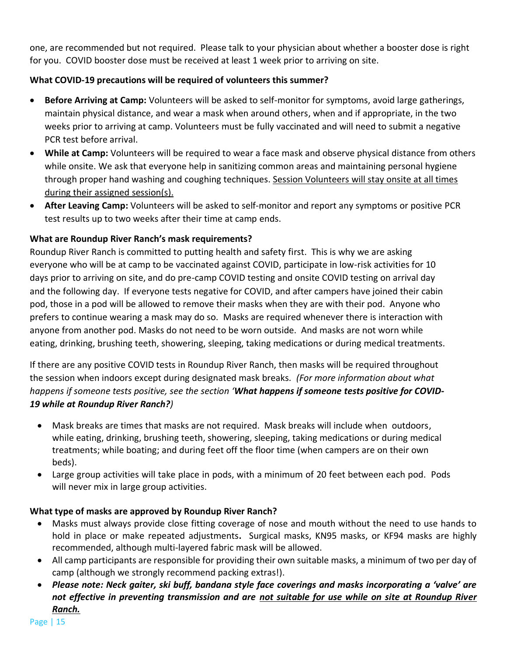one, are recommended but not required. Please talk to your physician about whether a booster dose is right for you. COVID booster dose must be received at least 1 week prior to arriving on site.

## **What COVID-19 precautions will be required of volunteers this summer?**

- **Before Arriving at Camp:** Volunteers will be asked to self-monitor for symptoms, avoid large gatherings, maintain physical distance, and wear a mask when around others, when and if appropriate, in the two weeks prior to arriving at camp. Volunteers must be fully vaccinated and will need to submit a negative PCR test before arrival.
- **While at Camp:** Volunteers will be required to wear a face mask and observe physical distance from others while onsite. We ask that everyone help in sanitizing common areas and maintaining personal hygiene through proper hand washing and coughing techniques. Session Volunteers will stay onsite at all times during their assigned session(s).
- **After Leaving Camp:** Volunteers will be asked to self-monitor and report any symptoms or positive PCR test results up to two weeks after their time at camp ends.

## **What are Roundup River Ranch's mask requirements?**

Roundup River Ranch is committed to putting health and safety first. This is why we are asking everyone who will be at camp to be vaccinated against COVID, participate in low-risk activities for 10 days prior to arriving on site, and do pre-camp COVID testing and onsite COVID testing on arrival day and the following day. If everyone tests negative for COVID, and after campers have joined their cabin pod, those in a pod will be allowed to remove their masks when they are with their pod. Anyone who prefers to continue wearing a mask may do so. Masks are required whenever there is interaction with anyone from another pod. Masks do not need to be worn outside. And masks are not worn while eating, drinking, brushing teeth, showering, sleeping, taking medications or during medical treatments.

If there are any positive COVID tests in Roundup River Ranch, then masks will be required throughout the session when indoors except during designated mask breaks*. (For more information about what happens if someone tests positive, see the section 'What happens if someone tests positive for COVID-19 while at Roundup River Ranch?)*

- Mask breaks are times that masks are not required. Mask breaks will include when outdoors, while eating, drinking, brushing teeth, showering, sleeping, taking medications or during medical treatments; while boating; and during feet off the floor time (when campers are on their own beds).
- Large group activities will take place in pods, with a minimum of 20 feet between each pod. Pods will never mix in large group activities.

#### **What type of masks are approved by Roundup River Ranch?**

- Masks must always provide close fitting coverage of nose and mouth without the need to use hands to hold in place or make repeated adjustments**.** Surgical masks, KN95 masks, or KF94 masks are highly recommended, although multi-layered fabric mask will be allowed.
- All camp participants are responsible for providing their own suitable masks, a minimum of two per day of camp (although we strongly recommend packing extras!).
- *Please note: Neck gaiter, ski buff, bandana style face coverings and masks incorporating a 'valve' are not effective in preventing transmission and are not suitable for use while on site at Roundup River Ranch.*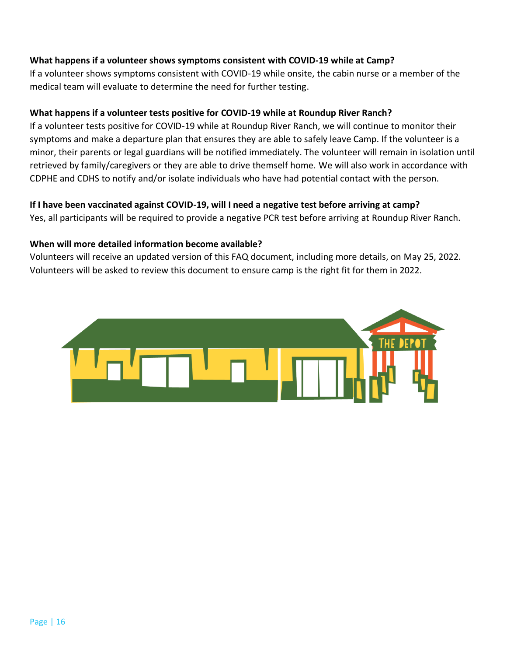#### **What happens if a volunteer shows symptoms consistent with COVID-19 while at Camp?**

If a volunteer shows symptoms consistent with COVID-19 while onsite, the cabin nurse or a member of the medical team will evaluate to determine the need for further testing.

#### **What happens if a volunteer tests positive for COVID-19 while at Roundup River Ranch?**

If a volunteer tests positive for COVID-19 while at Roundup River Ranch, we will continue to monitor their symptoms and make a departure plan that ensures they are able to safely leave Camp. If the volunteer is a minor, their parents or legal guardians will be notified immediately. The volunteer will remain in isolation until retrieved by family/caregivers or they are able to drive themself home. We will also work in accordance with CDPHE and CDHS to notify and/or isolate individuals who have had potential contact with the person.

#### **If I have been vaccinated against COVID-19, will I need a negative test before arriving at camp?**

Yes, all participants will be required to provide a negative PCR test before arriving at Roundup River Ranch.

#### **When will more detailed information become available?**

Volunteers will receive an updated version of this FAQ document, including more details, on May 25, 2022. Volunteers will be asked to review this document to ensure camp is the right fit for them in 2022.

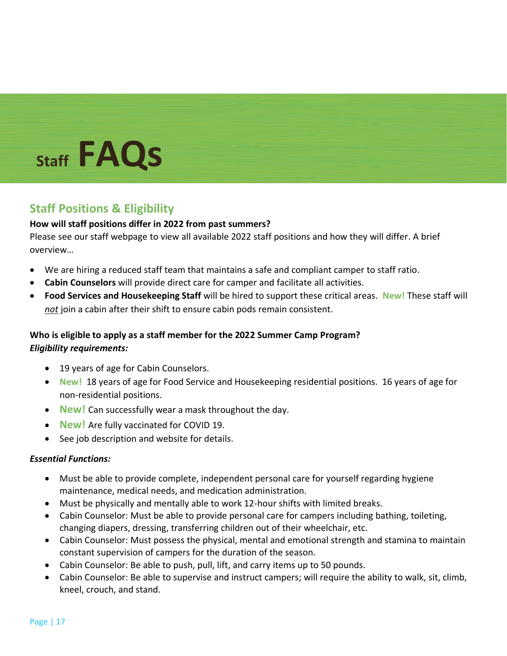# **Staff FAQs**

# **Staff Positions & Eligibility**

## **How will staff positions differ in 2022 from past summers?**

Please see our staff webpage to view all available 2022 staff positions and how they will differ. A brief overview…

- We are hiring a reduced staff team that maintains a safe and compliant camper to staff ratio.
- **Cabin Counselors** will provide direct care for camper and facilitate all activities.
- **Food Services and Housekeeping Staff** will be hired to support these critical areas. **New!** These staff will *not* join a cabin after their shift to ensure cabin pods remain consistent.

# **Who is eligible to apply as a staff member for the 2022 Summer Camp Program?** *Eligibility requirements:*

- 19 years of age for Cabin Counselors.
- **New!** 18 years of age for Food Service and Housekeeping residential positions. 16 years of age for non-residential positions.
- **New!** Can successfully wear a mask throughout the day.
- **New!** Are fully vaccinated for COVID 19.
- See job description and website for details.

#### *Essential Functions:*

- Must be able to provide complete, independent personal care for yourself regarding hygiene maintenance, medical needs, and medication administration.
- Must be physically and mentally able to work 12-hour shifts with limited breaks.
- Cabin Counselor: Must be able to provide personal care for campers including bathing, toileting, changing diapers, dressing, transferring children out of their wheelchair, etc.
- Cabin Counselor: Must possess the physical, mental and emotional strength and stamina to maintain constant supervision of campers for the duration of the season.
- Cabin Counselor: Be able to push, pull, lift, and carry items up to 50 pounds.
- Cabin Counselor: Be able to supervise and instruct campers; will require the ability to walk, sit, climb, kneel, crouch, and stand.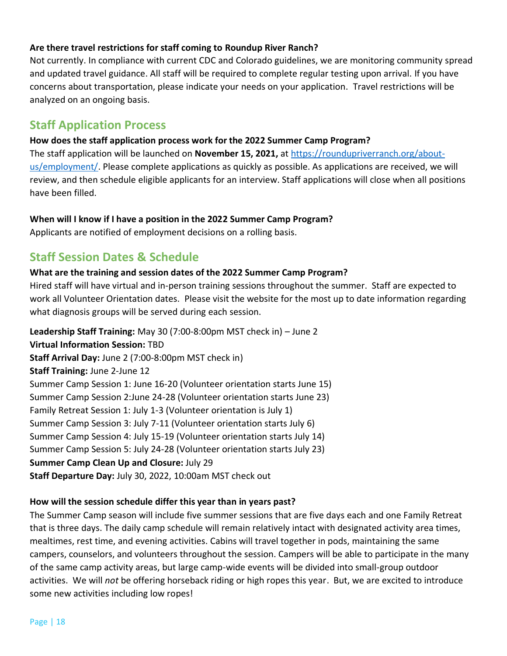#### **Are there travel restrictions for staff coming to Roundup River Ranch?**

Not currently. In compliance with current CDC and Colorado guidelines, we are monitoring community spread and updated travel guidance. All staff will be required to complete regular testing upon arrival. If you have concerns about transportation, please indicate your needs on your application. Travel restrictions will be analyzed on an ongoing basis.

# **Staff Application Process**

#### **How does the staff application process work for the 2022 Summer Camp Program?**

The staff application will be launched on **November 15, 2021,** at [https://roundupriverranch.org/about](https://roundupriverranch.org/about-us/employment/)[us/employment/.](https://roundupriverranch.org/about-us/employment/) Please complete applications as quickly as possible. As applications are received, we will review, and then schedule eligible applicants for an interview. Staff applications will close when all positions have been filled.

#### **When will I know if I have a position in the 2022 Summer Camp Program?**

Applicants are notified of employment decisions on a rolling basis.

# **Staff Session Dates & Schedule**

#### **What are the training and session dates of the 2022 Summer Camp Program?**

Hired staff will have virtual and in-person training sessions throughout the summer. Staff are expected to work all Volunteer Orientation dates. Please visit the website for the most up to date information regarding what diagnosis groups will be served during each session.

**Leadership Staff Training:** May 30 (7:00-8:00pm MST check in) – June 2 **Virtual Information Session:** TBD **Staff Arrival Day:** June 2 (7:00-8:00pm MST check in) **Staff Training:** June 2-June 12 Summer Camp Session 1: June 16-20 (Volunteer orientation starts June 15) Summer Camp Session 2:June 24-28 (Volunteer orientation starts June 23) Family Retreat Session 1: July 1-3 (Volunteer orientation is July 1) Summer Camp Session 3: July 7-11 (Volunteer orientation starts July 6) Summer Camp Session 4: July 15-19 (Volunteer orientation starts July 14) Summer Camp Session 5: July 24-28 (Volunteer orientation starts July 23) **Summer Camp Clean Up and Closure:** July 29 **Staff Departure Day:** July 30, 2022, 10:00am MST check out

#### **How will the session schedule differ this year than in years past?**

The Summer Camp season will include five summer sessions that are five days each and one Family Retreat that is three days. The daily camp schedule will remain relatively intact with designated activity area times, mealtimes, rest time, and evening activities. Cabins will travel together in pods, maintaining the same campers, counselors, and volunteers throughout the session. Campers will be able to participate in the many of the same camp activity areas, but large camp-wide events will be divided into small-group outdoor activities. We will *not* be offering horseback riding or high ropes this year. But, we are excited to introduce some new activities including low ropes!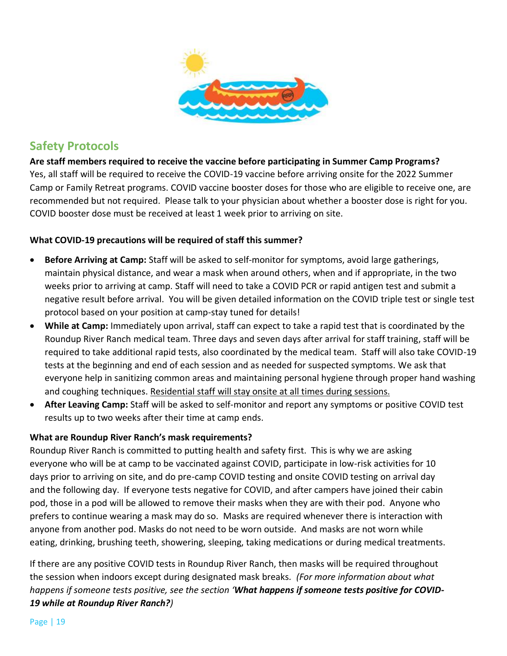

# **Safety Protocols**

**Are staff members required to receive the vaccine before participating in Summer Camp Programs?** Yes, all staff will be required to receive the COVID-19 vaccine before arriving onsite for the 2022 Summer Camp or Family Retreat programs. COVID vaccine booster doses for those who are eligible to receive one, are recommended but not required. Please talk to your physician about whether a booster dose is right for you. COVID booster dose must be received at least 1 week prior to arriving on site.

#### **What COVID-19 precautions will be required of staff this summer?**

- **Before Arriving at Camp:** Staff will be asked to self-monitor for symptoms, avoid large gatherings, maintain physical distance, and wear a mask when around others, when and if appropriate, in the two weeks prior to arriving at camp. Staff will need to take a COVID PCR or rapid antigen test and submit a negative result before arrival. You will be given detailed information on the COVID triple test or single test protocol based on your position at camp-stay tuned for details!
- **While at Camp:** Immediately upon arrival, staff can expect to take a rapid test that is coordinated by the Roundup River Ranch medical team. Three days and seven days after arrival for staff training, staff will be required to take additional rapid tests, also coordinated by the medical team. Staff will also take COVID-19 tests at the beginning and end of each session and as needed for suspected symptoms. We ask that everyone help in sanitizing common areas and maintaining personal hygiene through proper hand washing and coughing techniques. Residential staff will stay onsite at all times during sessions.
- **After Leaving Camp:** Staff will be asked to self-monitor and report any symptoms or positive COVID test results up to two weeks after their time at camp ends.

#### **What are Roundup River Ranch's mask requirements?**

Roundup River Ranch is committed to putting health and safety first. This is why we are asking everyone who will be at camp to be vaccinated against COVID, participate in low-risk activities for 10 days prior to arriving on site, and do pre-camp COVID testing and onsite COVID testing on arrival day and the following day. If everyone tests negative for COVID, and after campers have joined their cabin pod, those in a pod will be allowed to remove their masks when they are with their pod. Anyone who prefers to continue wearing a mask may do so. Masks are required whenever there is interaction with anyone from another pod. Masks do not need to be worn outside. And masks are not worn while eating, drinking, brushing teeth, showering, sleeping, taking medications or during medical treatments.

If there are any positive COVID tests in Roundup River Ranch, then masks will be required throughout the session when indoors except during designated mask breaks*. (For more information about what happens if someone tests positive, see the section 'What happens if someone tests positive for COVID-19 while at Roundup River Ranch?)*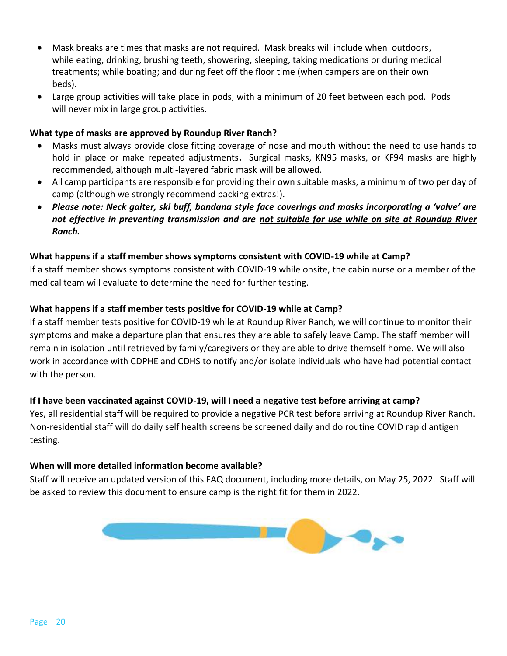- Mask breaks are times that masks are not required. Mask breaks will include when outdoors, while eating, drinking, brushing teeth, showering, sleeping, taking medications or during medical treatments; while boating; and during feet off the floor time (when campers are on their own beds).
- Large group activities will take place in pods, with a minimum of 20 feet between each pod. Pods will never mix in large group activities.

#### **What type of masks are approved by Roundup River Ranch?**

- Masks must always provide close fitting coverage of nose and mouth without the need to use hands to hold in place or make repeated adjustments**.** Surgical masks, KN95 masks, or KF94 masks are highly recommended, although multi-layered fabric mask will be allowed.
- All camp participants are responsible for providing their own suitable masks, a minimum of two per day of camp (although we strongly recommend packing extras!).
- *Please note: Neck gaiter, ski buff, bandana style face coverings and masks incorporating a 'valve' are not effective in preventing transmission and are not suitable for use while on site at Roundup River Ranch.*

#### **What happens if a staff member shows symptoms consistent with COVID-19 while at Camp?**

If a staff member shows symptoms consistent with COVID-19 while onsite, the cabin nurse or a member of the medical team will evaluate to determine the need for further testing.

#### **What happens if a staff member tests positive for COVID-19 while at Camp?**

If a staff member tests positive for COVID-19 while at Roundup River Ranch, we will continue to monitor their symptoms and make a departure plan that ensures they are able to safely leave Camp. The staff member will remain in isolation until retrieved by family/caregivers or they are able to drive themself home. We will also work in accordance with CDPHE and CDHS to notify and/or isolate individuals who have had potential contact with the person.

#### **If I have been vaccinated against COVID-19, will I need a negative test before arriving at camp?**

Yes, all residential staff will be required to provide a negative PCR test before arriving at Roundup River Ranch. Non-residential staff will do daily self health screens be screened daily and do routine COVID rapid antigen testing.

#### **When will more detailed information become available?**

Staff will receive an updated version of this FAQ document, including more details, on May 25, 2022. Staff will be asked to review this document to ensure camp is the right fit for them in 2022.